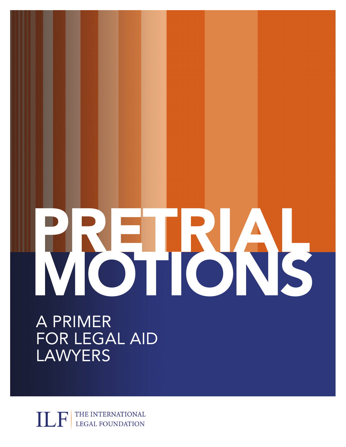# VBHUSS

A PRIMER FOR LEGAL AID LAWYERS

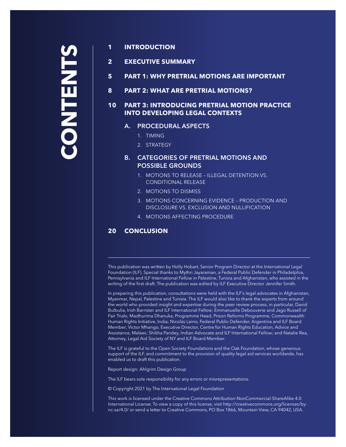# **CONTENTS STNELNO**

# **1 INTRODUCTION**

**2 EXECUTIVE SUMMARY**

- **5 PART 1: WHY PRETRIAL MOTIONS ARE IMPORTANT**
- **8 PART 2: WHAT ARE PRETRIAL MOTIONS?**

# **10 PART 3: INTRODUCING PRETRIAL MOTION PRACTICE INTO DEVELOPING LEGAL CONTEXTS**

# **A. PROCEDURAL ASPECTS**

- 1. TIMING
- 2. STRATEGY

# **B. CATEGORIES OF PRETRIAL MOTIONS AND POSSIBLE GROUNDS**

- 1. MOTIONS TO RELEASE ILLEGAL DETENTION VS. CONDITIONAL RELEASE
- 2. MOTIONS TO DISMISS
- 3. MOTIONS CONCERNING EVIDENCE PRODUCTION AND DISCLOSURE VS. EXCLUSION AND NULLIFICATION
- 4. MOTIONS AFFECTING PROCEDURE

# **20 CONCLUSION**

This publication was written by Holly Hobart, Senior Program Director at the International Legal Foundation (ILF). Special thanks to Mythri Jayaraman, a Federal Public Defender in Philadelphia, Pennsylvania and ILF International Fellow in Palestine, Tunisia and Afghanistan, who assisted in the writing of the first draft. The publication was edited by ILF Executive Director Jennifer Smith.

In preparing this publication, consultations were held with the ILF's legal advocates in Afghanistan, Myanmar, Nepal, Palestine and Tunisia. The ILF would also like to thank the experts from around the world who provided insight and expertise during the peer review process, in particular, David Bulbulia, Irish Barrister and ILF International Fellow; Emmanuelle Debouverie and Jago Russell of Fair Trials; Madhurima Dhanuka, Programme Head, Prison Reforms Programme, Commonwealth Human Rights Initiative, India; Nicolás Laino, Federal Public Defender, Argentina and ILF Board Member; Victor Mhango, Executive Director, Centre for Human Rights Education, Advice and Assistance, Malawi; Shikha Pandey, Indian Advocate and ILF International Fellow; and Natalie Rea, Attorney, Legal Aid Society of NY and ILF Board Member.

The ILF is grateful to the Open Society Foundations and the Oak Foundation, whose generous support of the ILF, and commitment to the provision of quality legal aid services worldwide, has enabled us to draft this publication.

Report design: Ahlgrim Design Group

The ILF bears sole responsibility for any errors or misrepresentations.

© Copyright 2021 by The International Legal Foundation

This work is licensed under the Creative Commons Attribution-NonCommercial-ShareAlike 4.0 International License. To view a copy of this license, visit [http://creativecommons.org/licenses/by](http://creativecommons.org/licenses/by-nc-sa/4.0/)[nc-sa/4.0/](http://creativecommons.org/licenses/by-nc-sa/4.0/) or send a letter to Creative Commons, PO Box 1866, Mountain View, CA 94042, USA.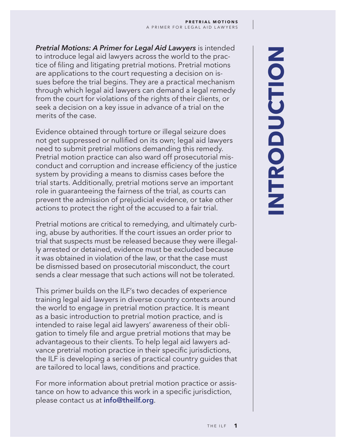*Pretrial Motions: A Primer for Legal Aid Lawyers* is intended to introduce legal aid lawyers across the world to the practice of filing and litigating pretrial motions. Pretrial motions are applications to the court requesting a decision on issues before the trial begins. They are a practical mechanism through which legal aid lawyers can demand a legal remedy from the court for violations of the rights of their clients, or seek a decision on a key issue in advance of a trial on the merits of the case.

Evidence obtained through torture or illegal seizure does not get suppressed or nullified on its own; legal aid lawyers need to submit pretrial motions demanding this remedy. Pretrial motion practice can also ward off prosecutorial misconduct and corruption and increase efficiency of the justice system by providing a means to dismiss cases before the trial starts. Additionally, pretrial motions serve an important role in guaranteeing the fairness of the trial, as courts can prevent the admission of prejudicial evidence, or take other actions to protect the right of the accused to a fair trial.

Pretrial motions are critical to remedying, and ultimately curbing, abuse by authorities. If the court issues an order prior to trial that suspects must be released because they were illegally arrested or detained, evidence must be excluded because it was obtained in violation of the law, or that the case must be dismissed based on prosecutorial misconduct, the court sends a clear message that such actions will not be tolerated.

This primer builds on the ILF's two decades of experience training legal aid lawyers in diverse country contexts around the world to engage in pretrial motion practice. It is meant as a basic introduction to pretrial motion practice, and is intended to raise legal aid lawyers' awareness of their obligation to timely file and argue pretrial motions that may be advantageous to their clients. To help legal aid lawyers advance pretrial motion practice in their specific jurisdictions, the ILF is developing a series of practical country guides that are tailored to local laws, conditions and practice.

For more information about pretrial motion practice or assistance on how to advance this work in a specific jurisdiction, please contact us at **[info@theilf.org](mailto:info%40theilf.org?subject=)**.

# **INTRODUCTIONINTRODUCTION**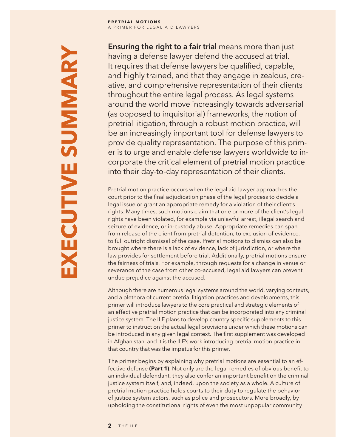**Ensuring the right to a fair trial** means more than just having a defense lawyer defend the accused at trial. It requires that defense lawyers be qualified, capable, and highly trained, and that they engage in zealous, creative, and comprehensive representation of their clients throughout the entire legal process. As legal systems around the world move increasingly towards adversarial (as opposed to inquisitorial) frameworks, the notion of pretrial litigation, through a robust motion practice, will be an increasingly important tool for defense lawyers to provide quality representation. The purpose of this primer is to urge and enable defense lawyers worldwide to incorporate the critical element of pretrial motion practice into their day-to-day representation of their clients.

Pretrial motion practice occurs when the legal aid lawyer approaches the court prior to the final adjudication phase of the legal process to decide a legal issue or grant an appropriate remedy for a violation of their client's rights. Many times, such motions claim that one or more of the client's legal rights have been violated, for example via unlawful arrest, illegal search and seizure of evidence, or in-custody abuse. Appropriate remedies can span from release of the client from pretrial detention, to exclusion of evidence, to full outright dismissal of the case. Pretrial motions to dismiss can also be brought where there is a lack of evidence, lack of jurisdiction, or where the law provides for settlement before trial. Additionally, pretrial motions ensure the fairness of trials. For example, through requests for a change in venue or severance of the case from other co-accused, legal aid lawyers can prevent undue prejudice against the accused.

Although there are numerous legal systems around the world, varying contexts, and a plethora of current pretrial litigation practices and developments, this primer will introduce lawyers to the core practical and strategic elements of an effective pretrial motion practice that can be incorporated into any criminal justice system. The ILF plans to develop country specific supplements to this primer to instruct on the actual legal provisions under which these motions can be introduced in any given legal context. The first supplement was developed in Afghanistan, and it is the ILF's work introducing pretrial motion practice in that country that was the impetus for this primer.

The primer begins by explaining why pretrial motions are essential to an effective defense **(Part 1)**. Not only are the legal remedies of obvious benefit to an individual defendant, they also confer an important benefit on the criminal justice system itself, and, indeed, upon the society as a whole. A culture of pretrial motion practice holds courts to their duty to regulate the behavior of justice system actors, such as police and prosecutors. More broadly, by upholding the constitutional rights of even the most unpopular community

**EXECUTIVE SUMMARYXECUTIVE SUMMARY**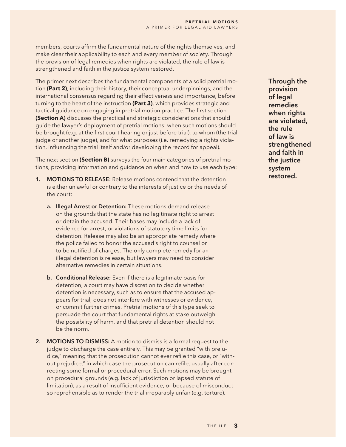members, courts affirm the fundamental nature of the rights themselves, and make clear their applicability to each and every member of society. Through the provision of legal remedies when rights are violated, the rule of law is strengthened and faith in the justice system restored.

The primer next describes the fundamental components of a solid pretrial motion **(Part 2)**, including their history, their conceptual underpinnings, and the international consensus regarding their effectiveness and importance, before turning to the heart of the instruction **(Part 3)**, which provides strategic and tactical guidance on engaging in pretrial motion practice. The first section **(Section A)** discusses the practical and strategic considerations that should guide the lawyer's deployment of pretrial motions: when such motions should be brought (e.g. at the first court hearing or just before trial), to whom (the trial judge or another judge), and for what purposes (i.e. remedying a rights violation, influencing the trial itself and/or developing the record for appeal).

The next section **(Section B)** surveys the four main categories of pretrial motions, providing information and guidance on when and how to use each type:

- **1. MOTIONS TO RELEASE:** Release motions contend that the detention is either unlawful or contrary to the interests of justice or the needs of the court:
	- **a. Illegal Arrest or Detention:** These motions demand release on the grounds that the state has no legitimate right to arrest or detain the accused. Their bases may include a lack of evidence for arrest, or violations of statutory time limits for detention. Release may also be an appropriate remedy where the police failed to honor the accused's right to counsel or to be notified of charges. The only complete remedy for an illegal detention is release, but lawyers may need to consider alternative remedies in certain situations.
	- **b. Conditional Release:** Even if there is a legitimate basis for detention, a court may have discretion to decide whether detention is necessary, such as to ensure that the accused appears for trial, does not interfere with witnesses or evidence, or commit further crimes. Pretrial motions of this type seek to persuade the court that fundamental rights at stake outweigh the possibility of harm, and that pretrial detention should not be the norm.
- **2. MOTIONS TO DISMISS:** A motion to dismiss is a formal request to the judge to discharge the case entirely. This may be granted "with prejudice," meaning that the prosecution cannot ever refile this case, or "without prejudice," in which case the prosecution can refile, usually after correcting some formal or procedural error. Such motions may be brought on procedural grounds (e.g. lack of jurisdiction or lapsed statute of limitation), as a result of insufficient evidence, or because of misconduct so reprehensible as to render the trial irreparably unfair (e.g. torture).

**Through the provision of legal remedies when rights are violated, the rule of law is strengthened and faith in the justice system restored.**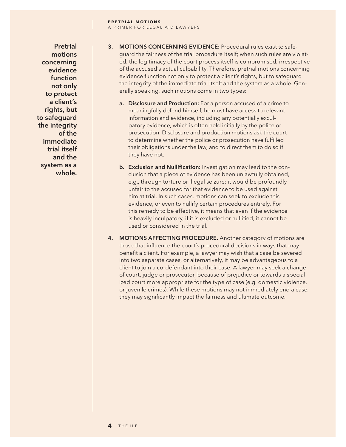**Pretrial motions concerning evidence function not only to protect a client's rights, but to safeguard the integrity of the immediate trial itself and the system as a whole.**

- **3. MOTIONS CONCERNING EVIDENCE:** Procedural rules exist to safeguard the fairness of the trial procedure itself; when such rules are violated, the legitimacy of the court process itself is compromised, irrespective of the accused's actual culpability. Therefore, pretrial motions concerning evidence function not only to protect a client's rights, but to safeguard the integrity of the immediate trial itself and the system as a whole. Generally speaking, such motions come in two types:
	- **a. Disclosure and Production:** For a person accused of a crime to meaningfully defend himself, he must have access to relevant information and evidence, including any potentially exculpatory evidence, which is often held initially by the police or prosecution. Disclosure and production motions ask the court to determine whether the police or prosecution have fulfilled their obligations under the law, and to direct them to do so if they have not.
	- **b.** Exclusion and Nullification: Investigation may lead to the conclusion that a piece of evidence has been unlawfully obtained, e.g., through torture or illegal seizure; it would be profoundly unfair to the accused for that evidence to be used against him at trial. In such cases, motions can seek to exclude this evidence, or even to nullify certain procedures entirely. For this remedy to be effective, it means that even if the evidence is heavily inculpatory, if it is excluded or nullified, it cannot be used or considered in the trial.
- **4. MOTIONS AFFECTING PROCEDURE.** Another category of motions are those that influence the court's procedural decisions in ways that may benefit a client. For example, a lawyer may wish that a case be severed into two separate cases, or alternatively, it may be advantageous to a client to join a co-defendant into their case. A lawyer may seek a change of court, judge or prosecutor, because of prejudice or towards a specialized court more appropriate for the type of case (e.g. domestic violence, or juvenile crimes). While these motions may not immediately end a case, they may significantly impact the fairness and ultimate outcome.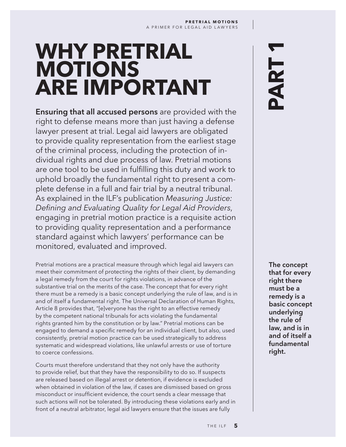# **WHY PRETRIAL MOTIONS ARE IMPORTANT**

**Ensuring that all accused persons** are provided with the right to defense means more than just having a defense lawyer present at trial. Legal aid lawyers are obligated to provide quality representation from the earliest stage of the criminal process, including the protection of individual rights and due process of law. Pretrial motions are one tool to be used in fulfilling this duty and work to uphold broadly the fundamental right to present a complete defense in a full and fair trial by a neutral tribunal. As explained in the ILF's publication *Measuring Justice: Defining and Evaluating Quality for Legal Aid Providers*, engaging in pretrial motion practice is a requisite action to providing quality representation and a performance standard against which lawyers' performance can be monitored, evaluated and improved.

Pretrial motions are a practical measure through which legal aid lawyers can meet their commitment of protecting the rights of their client, by demanding a legal remedy from the court for rights violations, in advance of the substantive trial on the merits of the case. The concept that for every right there must be a remedy is a basic concept underlying the rule of law, and is in and of itself a fundamental right. The Universal Declaration of Human Rights, Article 8 provides that, "[e]veryone has the right to an effective remedy by the competent national tribunals for acts violating the fundamental rights granted him by the constitution or by law." Pretrial motions can be engaged to demand a specific remedy for an individual client, but also, used consistently, pretrial motion practice can be used strategically to address systematic and widespread violations, like unlawful arrests or use of torture to coerce confessions.

Courts must therefore understand that they not only have the authority to provide relief, but that they have the responsibility to do so. If suspects are released based on illegal arrest or detention, if evidence is excluded when obtained in violation of the law, if cases are dismissed based on gross misconduct or insufficient evidence, the court sends a clear message that such actions will not be tolerated. By introducing these violations early and in front of a neutral arbitrator, legal aid lawyers ensure that the issues are fully

# **PART 1**

**The concept that for every right there must be a remedy is a basic concept underlying the rule of law, and is in and of itself a fundamental right.**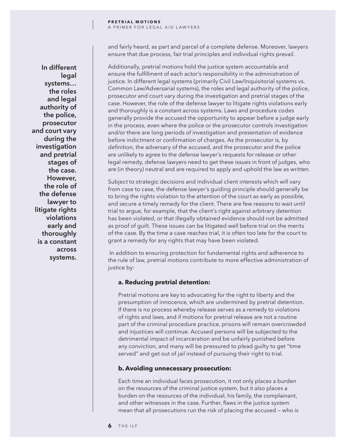**In different legal systems… the roles and legal authority of the police, prosecutor and court vary during the investigation and pretrial stages of the case. However, the role of the defense lawyer to litigate rights violations early and thoroughly is a constant across systems.**

and fairly heard, as part and parcel of a complete defense. Moreover, lawyers ensure that due process, fair trial principles and individual rights prevail.

Additionally, pretrial motions hold the justice system accountable and ensure the fulfillment of each actor's responsibility in the administration of justice. In different legal systems (primarily Civil Law/Inquisitorial systems vs. Common Law/Adversarial systems), the roles and legal authority of the police, prosecutor and court vary during the investigation and pretrial stages of the case. However, the role of the defense lawyer to litigate rights violations early and thoroughly is a constant across systems. Laws and procedure codes generally provide the accused the opportunity to appear before a judge early in the process, even where the police or the prosecutor controls investigation and/or there are long periods of investigation and presentation of evidence before indictment or confirmation of charges. As the prosecutor is, by definition, the adversary of the accused, and the prosecutor and the police are unlikely to agree to the defense lawyer's requests for release or other legal remedy, defense lawyers need to get these issues in front of judges, who are (in theory) neutral and are required to apply and uphold the law as written.

Subject to strategic decisions and individual client interests which will vary from case to case, the defense lawyer's guiding principle should generally be to bring the rights violation to the attention of the court as early as possible, and secure a timely remedy for the client. There are few reasons to wait until trial to argue, for example, that the client's right against arbitrary detention has been violated, or that illegally obtained evidence should not be admitted as proof of guilt. These issues can be litigated well before trial on the merits of the case. By the time a case reaches trial, it is often too late for the court to grant a remedy for any rights that may have been violated.

 In addition to ensuring protection for fundamental rights and adherence to the rule of law, pretrial motions contribute to more effective administration of justice by:

## **a. Reducing pretrial detention:**

Pretrial motions are key to advocating for the right to liberty and the presumption of innocence, which are undermined by pretrial detention. If there is no process whereby release serves as a remedy to violations of rights and laws, and if motions for pretrial release are not a routine part of the criminal procedure practice, prisons will remain overcrowded and injustices will continue. Accused persons will be subjected to the detrimental impact of incarceration and be unfairly punished before any conviction, and many will be pressured to plead guilty to get "time served" and get out of jail instead of pursuing their right to trial.

## **b. Avoiding unnecessary prosecution:**

Each time an individual faces prosecution, it not only places a burden on the resources of the criminal justice system, but it also places a burden on the resources of the individual, his family, the complainant, and other witnesses in the case. Further, flaws in the justice system mean that all prosecutions run the risk of placing the accused — who is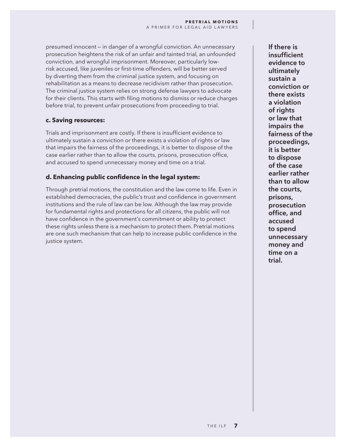presumed innocent — in danger of a wrongful conviction. An unnecessary prosecution heightens the risk of an unfair and tainted trial, an unfounded conviction, and wrongful imprisonment. Moreover, particularly lowrisk accused, like juveniles or first-time offenders, will be better served by diverting them from the criminal justice system, and focusing on rehabilitation as a means to decrease recidivism rather than prosecution. The criminal justice system relies on strong defense lawyers to advocate for their clients. This starts with filing motions to dismiss or reduce charges before trial, to prevent unfair prosecutions from proceeding to trial.

## **c. Saving resources:**

Trials and imprisonment are costly. If there is insufficient evidence to ultimately sustain a conviction or there exists a violation of rights or law that impairs the fairness of the proceedings, it is better to dispose of the case earlier rather than to allow the courts, prisons, prosecution office, and accused to spend unnecessary money and time on a trial.

# **d. Enhancing public confidence in the legal system:**

Through pretrial motions, the constitution and the law come to life. Even in established democracies, the public's trust and confidence in government institutions and the rule of law can be low. Although the law may provide for fundamental rights and protections for all citizens, the public will not have confidence in the government's commitment or ability to protect these rights unless there is a mechanism to protect them. Pretrial motions are one such mechanism that can help to increase public confidence in the justice system.

**If there is insufficient evidence to ultimately sustain a conviction or there exists a violation of rights or law that impairs the fairness of the proceedings, it is better to dispose of the case earlier rather than to allow the courts, prisons, prosecution office, and accused to spend unnecessary money and time on a trial.**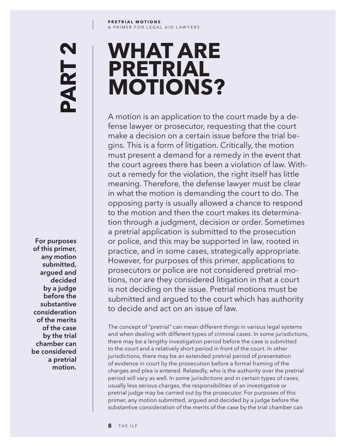### **PRETRIAL MOTIONS** A PRIMER FOR LEGAL AID LAWYERS

# N PART

**Mathematical**<br> **notion**<br> **motion**<br> **notion**<br> **notion**<br> **notion**<br> **notion**<br> **notion**<br> **notion**<br> **notion**<br> **notion For purposes of this primer, any motion submitted, argued and decided by a judge before the substantive consideration of the merits of the case by the trial chamber can be considered a pretrial**  motion.

# **WHAT ARE PRETRIAL MOTIONS?**

A motion is an application to the court made by a defense lawyer or prosecutor, requesting that the court make a decision on a certain issue before the trial begins. This is a form of litigation. Critically, the motion must present a demand for a remedy in the event that the court agrees there has been a violation of law. Without a remedy for the violation, the right itself has little meaning. Therefore, the defense lawyer must be clear in what the motion is demanding the court to do. The opposing party is usually allowed a chance to respond to the motion and then the court makes its determination through a judgment, decision or order. Sometimes a pretrial application is submitted to the prosecution or police, and this may be supported in law, rooted in practice, and in some cases, strategically appropriate. However, for purposes of this primer, applications to prosecutors or police are not considered pretrial motions, nor are they considered litigation in that a court is not deciding on the issue. Pretrial motions must be submitted and argued to the court which has authority to decide and act on an issue of law.

The concept of "pretrial" can mean different things in various legal systems and when dealing with different types of criminal cases. In some jurisdictions, there may be a lengthy investigation period before the case is submitted to the court and a relatively short period in front of the court. In other jurisdictions, there may be an extended pretrial period of presentation of evidence in court by the prosecution before a formal framing of the charges and plea is entered. Relatedly, who is the authority over the pretrial period will vary as well. In some jurisdictions and in certain types of cases, usually less serious charges, the responsibilities of an investigative or pretrial judge may be carried out by the prosecutor. For purposes of this primer, any motion submitted, argued and decided by a judge before the substantive consideration of the merits of the case by the trial chamber can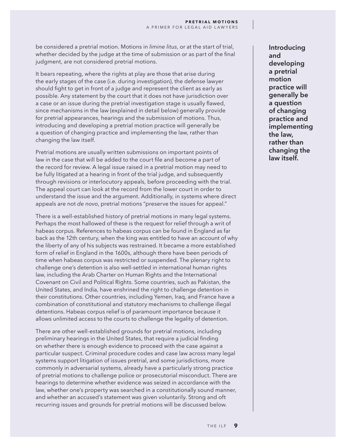be considered a pretrial motion. Motions in *limine litus*, or at the start of trial, whether decided by the judge at the time of submission or as part of the final judgment, are not considered pretrial motions.

It bears repeating, where the rights at play are those that arise during the early stages of the case (i.e. during investigation), the defense lawyer should fight to get in front of a judge and represent the client as early as possible. Any statement by the court that it does not have jurisdiction over a case or an issue during the pretrial investigation stage is usually flawed, since mechanisms in the law (explained in detail below) generally provide for pretrial appearances, hearings and the submission of motions. Thus, introducing and developing a pretrial motion practice will generally be a question of changing practice and implementing the law, rather than changing the law itself.

Pretrial motions are usually written submissions on important points of law in the case that will be added to the court file and become a part of the record for review. A legal issue raised in a pretrial motion may need to be fully litigated at a hearing in front of the trial judge, and subsequently through revisions or interlocutory appeals, before proceeding with the trial. The appeal court can look at the record from the lower court in order to understand the issue and the argument. Additionally, in systems where direct appeals are not *de novo*, pretrial motions "preserve the issues for appeal."

There is a well-established history of pretrial motions in many legal systems. Perhaps the most hallowed of these is the request for relief through a writ of habeas corpus. References to habeas corpus can be found in England as far back as the 12th century, when the king was entitled to have an account of why the liberty of any of his subjects was restrained. It became a more established form of relief in England in the 1600s, although there have been periods of time when habeas corpus was restricted or suspended. The plenary right to challenge one's detention is also well-settled in international human rights law, including the Arab Charter on Human Rights and the International Covenant on Civil and Political Rights. Some countries, such as Pakistan, the United States, and India, have enshrined the right to challenge detention in their constitutions. Other countries, including Yemen, Iraq, and France have a combination of constitutional and statutory mechanisms to challenge illegal detentions. Habeas corpus relief is of paramount importance because it allows unlimited access to the courts to challenge the legality of detention.

There are other well-established grounds for pretrial motions, including preliminary hearings in the United States, that require a judicial finding on whether there is enough evidence to proceed with the case against a particular suspect. Criminal procedure codes and case law across many legal systems support litigation of issues pretrial, and some jurisdictions, more commonly in adversarial systems, already have a particularly strong practice of pretrial motions to challenge police or prosecutorial misconduct. There are hearings to determine whether evidence was seized in accordance with the law, whether one's property was searched in a constitutionally sound manner, and whether an accused's statement was given voluntarily. Strong and oft recurring issues and grounds for pretrial motions will be discussed below.

**Introducing and developing a pretrial motion practice will generally be a question of changing practice and implementing the law, rather than changing the law itself.**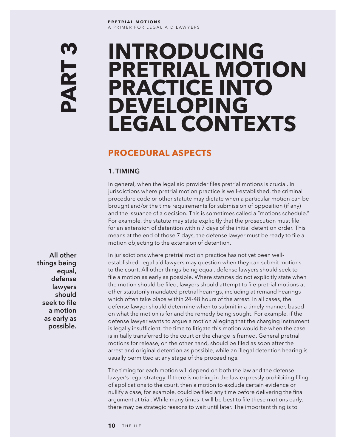### **PRETRIAL MOTIONS** A PRIMER FOR LEGAL AID LAWYERS

# Q. PART

# **INTRODUCING PRETRIAL MOTION PRACTICE INTO DEVELOPING LEGAL CONTEXTS**

# **PROCEDURAL ASPECTS**

# **1. TIMING**

In general, when the legal aid provider files pretrial motions is crucial. In jurisdictions where pretrial motion practice is well-established, the criminal procedure code or other statute may dictate when a particular motion can be brought and/or the time requirements for submission of opposition (if any) and the issuance of a decision. This is sometimes called a "motions schedule." For example, the statute may state explicitly that the prosecution must file for an extension of detention within 7 days of the initial detention order. This means at the end of those 7 days, the defense lawyer must be ready to file a motion objecting to the extension of detention.

In jurisdictions where pretrial motion practice has not yet been wellestablished, legal aid lawyers may question when they can submit motions to the court. All other things being equal, defense lawyers should seek to file a motion as early as possible. Where statutes do not explicitly state when the motion should be filed, lawyers should attempt to file pretrial motions at other statutorily mandated pretrial hearings, including at remand hearings which often take place within 24-48 hours of the arrest. In all cases, the defense lawyer should determine when to submit in a timely manner, based on what the motion is for and the remedy being sought. For example, if the defense lawyer wants to argue a motion alleging that the charging instrument is legally insufficient, the time to litigate this motion would be when the case is initially transferred to the court or the charge is framed. General pretrial motions for release, on the other hand, should be filed as soon after the arrest and original detention as possible, while an illegal detention hearing is usually permitted at any stage of the proceedings.

The timing for each motion will depend on both the law and the defense lawyer's legal strategy. If there is nothing in the law expressly prohibiting filing of applications to the court, then a motion to exclude certain evidence or nullify a case, for example, could be filed any time before delivering the final argument at trial. While many times it will be best to file these motions early, there may be strategic reasons to wait until later. The important thing is to

**possible.**<br> **possible.**<br> **possible.**<br> **possible.**<br> **possible. All other things being equal, defense lawyers should seek to file a motion as early as**  possible.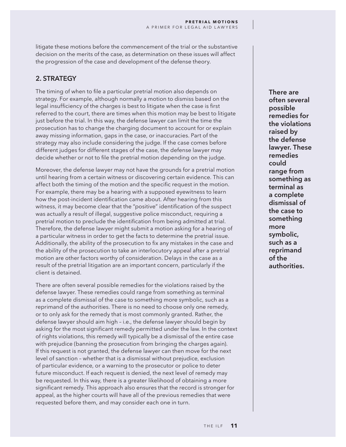litigate these motions before the commencement of the trial or the substantive decision on the merits of the case, as determination on these issues will affect the progression of the case and development of the defense theory.

# **2. STRATEGY**

The timing of when to file a particular pretrial motion also depends on strategy. For example, although normally a motion to dismiss based on the legal insufficiency of the charges is best to litigate when the case is first referred to the court, there are times when this motion may be best to litigate just before the trial. In this way, the defense lawyer can limit the time the prosecution has to change the charging document to account for or explain away missing information, gaps in the case, or inaccuracies. Part of the strategy may also include considering the judge. If the case comes before different judges for different stages of the case, the defense lawyer may decide whether or not to file the pretrial motion depending on the judge.

Moreover, the defense lawyer may not have the grounds for a pretrial motion until hearing from a certain witness or discovering certain evidence. This can affect both the timing of the motion and the specific request in the motion. For example, there may be a hearing with a supposed eyewitness to learn how the post-incident identification came about. After hearing from this witness, it may become clear that the "positive" identification of the suspect was actually a result of illegal, suggestive police misconduct, requiring a pretrial motion to preclude the identification from being admitted at trial. Therefore, the defense lawyer might submit a motion asking for a hearing of a particular witness in order to get the facts to determine the pretrial issue. Additionally, the ability of the prosecution to fix any mistakes in the case and the ability of the prosecution to take an interlocutory appeal after a pretrial motion are other factors worthy of consideration. Delays in the case as a result of the pretrial litigation are an important concern, particularly if the client is detained.

There are often several possible remedies for the violations raised by the defense lawyer. These remedies could range from something as terminal as a complete dismissal of the case to something more symbolic, such as a reprimand of the authorities. There is no need to choose only one remedy, or to only ask for the remedy that is most commonly granted. Rather, the defense lawyer should aim high – i.e., the defense lawyer should begin by asking for the most significant remedy permitted under the law. In the context of rights violations, this remedy will typically be a dismissal of the entire case with prejudice (banning the prosecution from bringing the charges again). If this request is not granted, the defense lawyer can then move for the next level of sanction – whether that is a dismissal without prejudice, exclusion of particular evidence, or a warning to the prosecutor or police to deter future misconduct. If each request is denied, the next level of remedy may be requested. In this way, there is a greater likelihood of obtaining a more significant remedy. This approach also ensures that the record is stronger for appeal, as the higher courts will have all of the previous remedies that were requested before them, and may consider each one in turn.

**There are often several possible remedies for the violations raised by the defense lawyer. These remedies could range from something as terminal as a complete dismissal of the case to something more symbolic, such as a reprimand of the authorities.**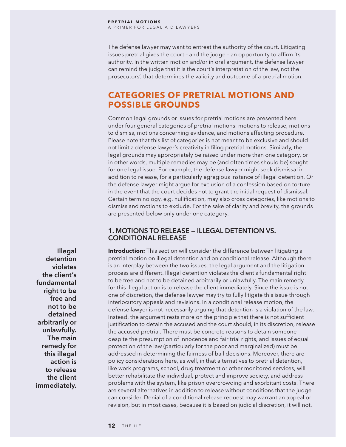The defense lawyer may want to entreat the authority of the court. Litigating issues pretrial gives the court – and the judge – an opportunity to affirm its authority. In the written motion and/or in oral argument, the defense lawyer can remind the judge that it is the court's interpretation of the law, not the prosecutors', that determines the validity and outcome of a pretrial motion.

# **CATEGORIES OF PRETRIAL MOTIONS AND POSSIBLE GROUNDS**

Common legal grounds or issues for pretrial motions are presented here under four general categories of pretrial motions: motions to release, motions to dismiss, motions concerning evidence, and motions affecting procedure. Please note that this list of categories is not meant to be exclusive and should not limit a defense lawyer's creativity in filing pretrial motions. Similarly, the legal grounds may appropriately be raised under more than one category, or in other words, multiple remedies may be (and often times should be) sought for one legal issue. For example, the defense lawyer might seek dismissal in addition to release, for a particularly egregious instance of illegal detention. Or the defense lawyer might argue for exclusion of a confession based on torture in the event that the court decides not to grant the initial request of dismissal. Certain terminology, e.g. nullification, may also cross categories, like motions to dismiss and motions to exclude. For the sake of clarity and brevity, the grounds are presented below only under one category.

# **1. MOTIONS TO RELEASE — ILLEGAL DETENTION VS. CONDITIONAL RELEASE**

**Introduction:** This section will consider the difference between litigating a pretrial motion on illegal detention and on conditional release. Although there is an interplay between the two issues, the legal argument and the litigation process are different. Illegal detention violates the client's fundamental right to be free and not to be detained arbitrarily or unlawfully. The main remedy for this illegal action is to release the client immediately. Since the issue is not one of discretion, the defense lawyer may try to fully litigate this issue through interlocutory appeals and revisions. In a conditional release motion, the defense lawyer is not necessarily arguing that detention is a violation of the law. Instead, the argument rests more on the principle that there is not sufficient justification to detain the accused and the court should, in its discretion, release the accused pretrial. There must be concrete reasons to detain someone despite the presumption of innocence and fair trial rights, and issues of equal protection of the law (particularly for the poor and marginalized) must be addressed in determining the fairness of bail decisions. Moreover, there are policy considerations here, as well, in that alternatives to pretrial detention, like work programs, school, drug treatment or other monitored services, will better rehabilitate the individual, protect and improve society, and address problems with the system, like prison overcrowding and exorbitant costs. There are several alternatives in addition to release without conditions that the judge can consider. Denial of a conditional release request may warrant an appeal or revision, but in most cases, because it is based on judicial discretion, it will not.

**Illegal detention violates the client's fundamental right to be free and not to be detained arbitrarily or unlawfully. The main remedy for this illegal action is to release the client immediately.**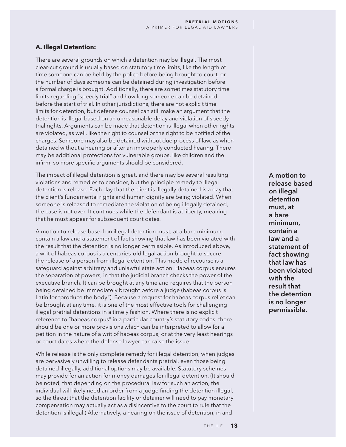# **A. Illegal Detention:**

There are several grounds on which a detention may be illegal. The most clear-cut ground is usually based on statutory time limits, like the length of time someone can be held by the police before being brought to court, or the number of days someone can be detained during investigation before a formal charge is brought. Additionally, there are sometimes statutory time limits regarding "speedy trial" and how long someone can be detained before the start of trial. In other jurisdictions, there are not explicit time limits for detention, but defense counsel can still make an argument that the detention is illegal based on an unreasonable delay and violation of speedy trial rights. Arguments can be made that detention is illegal when other rights are violated, as well, like the right to counsel or the right to be notified of the charges. Someone may also be detained without due process of law, as when detained without a hearing or after an improperly conducted hearing. There may be additional protections for vulnerable groups, like children and the infirm, so more specific arguments should be considered.

The impact of illegal detention is great, and there may be several resulting violations and remedies to consider, but the principle remedy to illegal detention is release. Each day that the client is illegally detained is a day that the client's fundamental rights and human dignity are being violated. When someone is released to remediate the violation of being illegally detained, the case is not over. It continues while the defendant is at liberty, meaning that he must appear for subsequent court dates.

A motion to release based on illegal detention must, at a bare minimum, contain a law and a statement of fact showing that law has been violated with the result that the detention is no longer permissible. As introduced above, a writ of habeas corpus is a centuries-old legal action brought to secure the release of a person from illegal detention. This mode of recourse is a safeguard against arbitrary and unlawful state action. Habeas corpus ensures the separation of powers, in that the judicial branch checks the power of the executive branch. It can be brought at any time and requires that the person being detained be immediately brought before a judge (habeas corpus is Latin for "produce the body"). Because a request for habeas corpus relief can be brought at any time, it is one of the most effective tools for challenging illegal pretrial detentions in a timely fashion. Where there is no explicit reference to "habeas corpus" in a particular country's statutory codes, there should be one or more provisions which can be interpreted to allow for a petition in the nature of a writ of habeas corpus, or at the very least hearings or court dates where the defense lawyer can raise the issue.

While release is the only complete remedy for illegal detention, when judges are pervasively unwilling to release defendants pretrial, even those being detained illegally, additional options may be available. Statutory schemes may provide for an action for money damages for illegal detention. (It should be noted, that depending on the procedural law for such an action, the individual will likely need an order from a judge finding the detention illegal, so the threat that the detention facility or detainer will need to pay monetary compensation may actually act as a disincentive to the court to rule that the detention is illegal.) Alternatively, a hearing on the issue of detention, in and

**A motion to release based on illegal detention must, at a bare minimum, contain a law and a statement of fact showing that law has been violated with the result that the detention is no longer permissible.**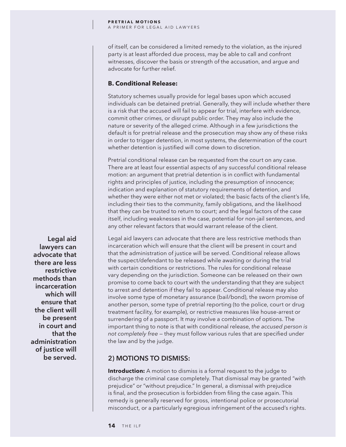of itself, can be considered a limited remedy to the violation, as the injured party is at least afforded due process, may be able to call and confront witnesses, discover the basis or strength of the accusation, and argue and advocate for further relief.

# **B. Conditional Release:**

Statutory schemes usually provide for legal bases upon which accused individuals can be detained pretrial. Generally, they will include whether there is a risk that the accused will fail to appear for trial, interfere with evidence, commit other crimes, or disrupt public order. They may also include the nature or severity of the alleged crime. Although in a few jurisdictions the default is for pretrial release and the prosecution may show any of these risks in order to trigger detention, in most systems, the determination of the court whether detention is justified will come down to discretion.

Pretrial conditional release can be requested from the court on any case. There are at least four essential aspects of any successful conditional release motion: an argument that pretrial detention is in conflict with fundamental rights and principles of justice, including the presumption of innocence; indication and explanation of statutory requirements of detention, and whether they were either not met or violated; the basic facts of the client's life, including their ties to the community, family obligations, and the likelihood that they can be trusted to return to court; and the legal factors of the case itself, including weaknesses in the case, potential for non-jail sentences, and any other relevant factors that would warrant release of the client.

Legal aid lawyers can advocate that there are less restrictive methods than incarceration which will ensure that the client will be present in court and that the administration of justice will be served. Conditional release allows the suspect/defendant to be released while awaiting or during the trial with certain conditions or restrictions. The rules for conditional release vary depending on the jurisdiction. Someone can be released on their own promise to come back to court with the understanding that they are subject to arrest and detention if they fail to appear. Conditional release may also involve some type of monetary assurance (bail/bond), the sworn promise of another person, some type of pretrial reporting (to the police, court or drug treatment facility, for example), or restrictive measures like house-arrest or surrendering of a passport. It may involve a combination of options. The important thing to note is that with conditional release, *the accused person is not completely free* — they must follow various rules that are specified under the law and by the judge.

# **2) MOTIONS TO DISMISS:**

**Introduction:** A motion to dismiss is a formal request to the judge to discharge the criminal case completely. That dismissal may be granted "with prejudice" or "without prejudice." In general, a dismissal with prejudice is final, and the prosecution is forbidden from filing the case again. This remedy is generally reserved for gross, intentional police or prosecutorial misconduct, or a particularly egregious infringement of the accused's rights.

**Legal aid lawyers can advocate that there are less restrictive methods than incarceration which will ensure that the client will be present in court and that the administration of justice will be served.**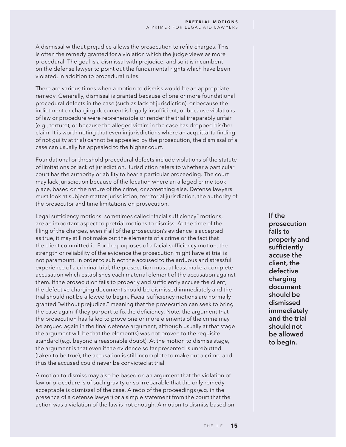A dismissal without prejudice allows the prosecution to refile charges. This is often the remedy granted for a violation which the judge views as more procedural. The goal is a dismissal with prejudice, and so it is incumbent on the defense lawyer to point out the fundamental rights which have been violated, in addition to procedural rules.

There are various times when a motion to dismiss would be an appropriate remedy. Generally, dismissal is granted because of one or more foundational procedural defects in the case (such as lack of jurisdiction), or because the indictment or charging document is legally insufficient, or because violations of law or procedure were reprehensible or render the trial irreparably unfair (e.g., torture), or because the alleged victim in the case has dropped his/her claim. It is worth noting that even in jurisdictions where an acquittal (a finding of not guilty at trial) cannot be appealed by the prosecution, the dismissal of a case can usually be appealed to the higher court.

Foundational or threshold procedural defects include violations of the statute of limitations or lack of jurisdiction. Jurisdiction refers to whether a particular court has the authority or ability to hear a particular proceeding. The court may lack jurisdiction because of the location where an alleged crime took place, based on the nature of the crime, or something else. Defense lawyers must look at subject-matter jurisdiction, territorial jurisdiction, the authority of the prosecutor and time limitations on prosecution.

Legal sufficiency motions, sometimes called "facial sufficiency" motions, are an important aspect to pretrial motions to dismiss. At the time of the filing of the charges, even if all of the prosecution's evidence is accepted as true, it may still not make out the elements of a crime or the fact that the client committed it. For the purposes of a facial sufficiency motion, the strength or reliability of the evidence the prosecution might have at trial is not paramount. In order to subject the accused to the arduous and stressful experience of a criminal trial, the prosecution must at least make a complete accusation which establishes each material element of the accusation against them. If the prosecution fails to properly and sufficiently accuse the client, the defective charging document should be dismissed immediately and the trial should not be allowed to begin. Facial sufficiency motions are normally granted "without prejudice," meaning that the prosecution can seek to bring the case again if they purport to fix the deficiency. Note, the argument that the prosecution has failed to prove one or more elements of the crime may be argued again in the final defense argument, although usually at that stage the argument will be that the element(s) was not proven to the requisite standard (e.g. beyond a reasonable doubt). At the motion to dismiss stage, the argument is that even if the evidence so far presented is unrebutted (taken to be true), the accusation is still incomplete to make out a crime, and thus the accused could never be convicted at trial.

A motion to dismiss may also be based on an argument that the violation of law or procedure is of such gravity or so irreparable that the only remedy acceptable is dismissal of the case. A redo of the proceedings (e.g. in the presence of a defense lawyer) or a simple statement from the court that the action was a violation of the law is not enough. A motion to dismiss based on **If the prosecution fails to properly and sufficiently accuse the client, the defective charging document should be dismissed immediately and the trial should not be allowed to begin.**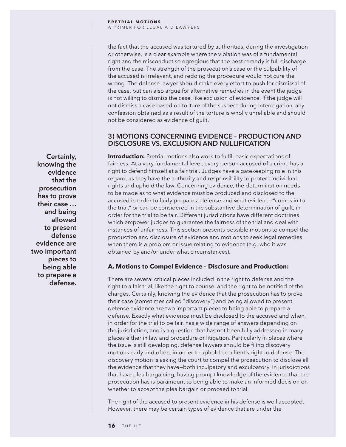the fact that the accused was tortured by authorities, during the investigation or otherwise, is a clear example where the violation was of a fundamental right and the misconduct so egregious that the best remedy is full discharge from the case. The strength of the prosecution's case or the culpability of the accused is irrelevant, and redoing the procedure would not cure the wrong. The defense lawyer should make every effort to push for dismissal of the case, but can also argue for alternative remedies in the event the judge is not willing to dismiss the case, like exclusion of evidence. If the judge will not dismiss a case based on torture of the suspect during interrogation, any confession obtained as a result of the torture is wholly unreliable and should not be considered as evidence of guilt.

# **3) MOTIONS CONCERNING EVIDENCE – PRODUCTION AND DISCLOSURE VS. EXCLUSION AND NULLIFICATION**

**Introduction:** Pretrial motions also work to fulfill basic expectations of fairness. At a very fundamental level, every person accused of a crime has a right to defend himself at a fair trial. Judges have a gatekeeping role in this regard, as they have the authority and responsibility to protect individual rights and uphold the law. Concerning evidence, the determination needs to be made as to what evidence must be produced and disclosed to the accused in order to fairly prepare a defense and what evidence "comes in to the trial," or can be considered in the substantive determination of guilt, in order for the trial to be fair. Different jurisdictions have different doctrines which empower judges to guarantee the fairness of the trial and deal with instances of unfairness. This section presents possible motions to compel the production and disclosure of evidence and motions to seek legal remedies when there is a problem or issue relating to evidence (e.g. who it was obtained by and/or under what circumstances).

# **A. Motions to Compel Evidence – Disclosure and Production:**

There are several critical pieces included in the right to defense and the right to a fair trial, like the right to counsel and the right to be notified of the charges. Certainly, knowing the evidence that the prosecution has to prove their case (sometimes called "discovery") and being allowed to present defense evidence are two important pieces to being able to prepare a defense. Exactly what evidence must be disclosed to the accused and when, in order for the trial to be fair, has a wide range of answers depending on the jurisdiction, and is a question that has not been fully addressed in many places either in law and procedure or litigation. Particularly in places where the issue is still developing, defense lawyers should be filing discovery motions early and often, in order to uphold the client's right to defense. The discovery motion is asking the court to compel the prosecution to disclose all the evidence that they have—both inculpatory and exculpatory. In jurisdictions that have plea bargaining, having prompt knowledge of the evidence that the prosecution has is paramount to being able to make an informed decision on whether to accept the plea bargain or proceed to trial.

The right of the accused to present evidence in his defense is well accepted. However, there may be certain types of evidence that are under the

**Certainly, knowing the evidence that the prosecution has to prove their case … and being allowed to present defense evidence are two important pieces to being able to prepare a defense.**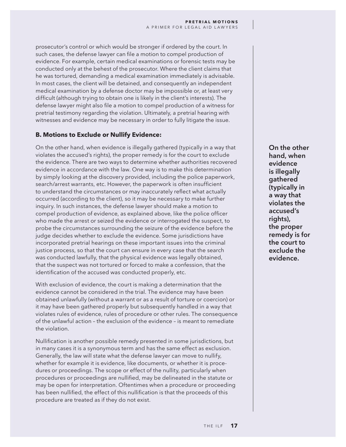prosecutor's control or which would be stronger if ordered by the court. In such cases, the defense lawyer can file a motion to compel production of evidence. For example, certain medical examinations or forensic tests may be conducted only at the behest of the prosecutor. Where the client claims that he was tortured, demanding a medical examination immediately is advisable. In most cases, the client will be detained, and consequently an independent medical examination by a defense doctor may be impossible or, at least very difficult (although trying to obtain one is likely in the client's interests). The defense lawyer might also file a motion to compel production of a witness for pretrial testimony regarding the violation. Ultimately, a pretrial hearing with witnesses and evidence may be necessary in order to fully litigate the issue.

# **B. Motions to Exclude or Nullify Evidence:**

On the other hand, when evidence is illegally gathered (typically in a way that violates the accused's rights), the proper remedy is for the court to exclude the evidence. There are two ways to determine whether authorities recovered evidence in accordance with the law. One way is to make this determination by simply looking at the discovery provided, including the police paperwork, search/arrest warrants, etc. However, the paperwork is often insufficient to understand the circumstances or may inaccurately reflect what actually occurred (according to the client), so it may be necessary to make further inquiry. In such instances, the defense lawyer should make a motion to compel production of evidence, as explained above, like the police officer who made the arrest or seized the evidence or interrogated the suspect, to probe the circumstances surrounding the seizure of the evidence before the judge decides whether to exclude the evidence. Some jurisdictions have incorporated pretrial hearings on these important issues into the criminal justice process, so that the court can ensure in every case that the search was conducted lawfully, that the physical evidence was legally obtained, that the suspect was not tortured or forced to make a confession, that the identification of the accused was conducted properly, etc.

With exclusion of evidence, the court is making a determination that the evidence cannot be considered in the trial. The evidence may have been obtained unlawfully (without a warrant or as a result of torture or coercion) or it may have been gathered properly but subsequently handled in a way that violates rules of evidence, rules of procedure or other rules. The consequence of the unlawful action – the exclusion of the evidence – is meant to remediate the violation.

Nullification is another possible remedy presented in some jurisdictions, but in many cases it is a synonymous term and has the same effect as exclusion. Generally, the law will state what the defense lawyer can move to nullify, whether for example it is evidence, like documents, or whether it is procedures or proceedings. The scope or effect of the nullity, particularly when procedures or proceedings are nullified, may be delineated in the statute or may be open for interpretation. Oftentimes when a procedure or proceeding has been nullified, the effect of this nullification is that the proceeds of this procedure are treated as if they do not exist.

**On the other hand, when evidence is illegally gathered (typically in a way that violates the accused's rights), the proper remedy is for the court to exclude the evidence.**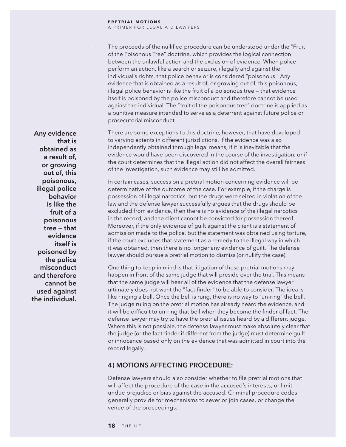### **PRETRIAL MOTIONS** A PRIMER FOR LEGAL AID LAWYERS

The proceeds of the nullified procedure can be understood under the "Fruit of the Poisonous Tree" doctrine, which provides the logical connection between the unlawful action and the exclusion of evidence. When police perform an action, like a search or seizure, illegally and against the individual's rights, that police behavior is considered "poisonous." Any evidence that is obtained as a result of, or growing out of, this poisonous, illegal police behavior is like the fruit of a poisonous tree — that evidence itself is poisoned by the police misconduct and therefore cannot be used against the individual. The "fruit of the poisonous tree" doctrine is applied as a punitive measure intended to serve as a deterrent against future police or prosecutorial misconduct.

There are some exceptions to this doctrine, however, that have developed to varying extents in different jurisdictions. If the evidence was also independently obtained through legal means, if it is inevitable that the evidence would have been discovered in the course of the investigation, or if the court determines that the illegal action did not affect the overall fairness of the investigation, such evidence may still be admitted.

In certain cases, success on a pretrial motion concerning evidence will be determinative of the outcome of the case. For example, if the charge is possession of illegal narcotics, but the drugs were seized in violation of the law and the defense lawyer successfully argues that the drugs should be excluded from evidence, then there is no evidence of the illegal narcotics in the record, and the client cannot be convicted for possession thereof. Moreover, if the only evidence of guilt against the client is a statement of admission made to the police, but the statement was obtained using torture, if the court excludes that statement as a remedy to the illegal way in which it was obtained, then there is no longer any evidence of guilt. The defense lawyer should pursue a pretrial motion to dismiss (or nullify the case).

One thing to keep in mind is that litigation of these pretrial motions may happen in front of the same judge that will preside over the trial. This means that the same judge will hear all of the evidence that the defense lawyer ultimately does not want the "fact-finder" to be able to consider. The idea is like ringing a bell. Once the bell is rung, there is no way to "un-ring" the bell. The judge ruling on the pretrial motion has already heard the evidence, and it will be difficult to un-ring that bell when they become the finder of fact. The defense lawyer may try to have the pretrial issues heard by a different judge. Where this is not possible, the defense lawyer must make absolutely clear that the judge (or the fact-finder if different from the judge) must determine guilt or innocence based only on the evidence that was admitted in court into the record legally.

# **4) MOTIONS AFFECTING PROCEDURE:**

Defense lawyers should also consider whether to file pretrial motions that will affect the procedure of the case in the accused's interests, or limit undue prejudice or bias against the accused. Criminal procedure codes generally provide for mechanisms to sever or join cases, or change the venue of the proceedings.

**Any evidence that is obtained as a result of, or growing out of, this poisonous, illegal police behavior is like the fruit of a poisonous tree — that evidence itself is poisoned by the police misconduct and therefore cannot be used against the individual.**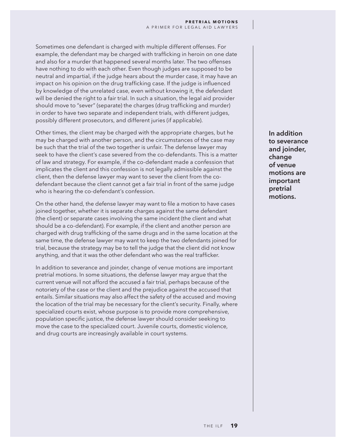Sometimes one defendant is charged with multiple different offenses. For example, the defendant may be charged with trafficking in heroin on one date and also for a murder that happened several months later. The two offenses have nothing to do with each other. Even though judges are supposed to be neutral and impartial, if the judge hears about the murder case, it may have an impact on his opinion on the drug trafficking case. If the judge is influenced by knowledge of the unrelated case, even without knowing it, the defendant will be denied the right to a fair trial. In such a situation, the legal aid provider should move to "sever" (separate) the charges (drug trafficking and murder) in order to have two separate and independent trials, with different judges, possibly different prosecutors, and different juries (if applicable).

Other times, the client may be charged with the appropriate charges, but he may be charged with another person, and the circumstances of the case may be such that the trial of the two together is unfair. The defense lawyer may seek to have the client's case severed from the co-defendants. This is a matter of law and strategy. For example, if the co-defendant made a confession that implicates the client and this confession is not legally admissible against the client, then the defense lawyer may want to sever the client from the codefendant because the client cannot get a fair trial in front of the same judge who is hearing the co-defendant's confession.

On the other hand, the defense lawyer may want to file a motion to have cases joined together, whether it is separate charges against the same defendant (the client) or separate cases involving the same incident (the client and what should be a co-defendant). For example, if the client and another person are charged with drug trafficking of the same drugs and in the same location at the same time, the defense lawyer may want to keep the two defendants joined for trial, because the strategy may be to tell the judge that the client did not know anything, and that it was the other defendant who was the real trafficker.

In addition to severance and joinder, change of venue motions are important pretrial motions. In some situations, the defense lawyer may argue that the current venue will not afford the accused a fair trial, perhaps because of the notoriety of the case or the client and the prejudice against the accused that entails. Similar situations may also affect the safety of the accused and moving the location of the trial may be necessary for the client's security. Finally, where specialized courts exist, whose purpose is to provide more comprehensive, population specific justice, the defense lawyer should consider seeking to move the case to the specialized court. Juvenile courts, domestic violence, and drug courts are increasingly available in court systems.

**In addition to severance and joinder, change of venue motions are important pretrial motions.**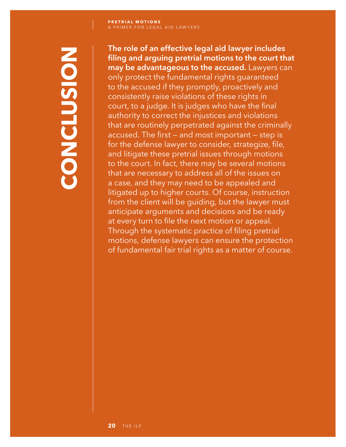# **CONCLUSION NOISUPIOS**

**The role of an effective legal aid lawyer includes filing and arguing pretrial motions to the court that may be advantageous to the accused.** Lawyers can only protect the fundamental rights guaranteed to the accused if they promptly, proactively and consistently raise violations of these rights in court, to a judge. It is judges who have the final authority to correct the injustices and violations that are routinely perpetrated against the criminally accused. The first — and most important — step is for the defense lawyer to consider, strategize, file, and litigate these pretrial issues through motions to the court. In fact, there may be several motions that are necessary to address all of the issues on a case, and they may need to be appealed and litigated up to higher courts. Of course, instruction from the client will be guiding, but the lawyer must anticipate arguments and decisions and be ready at every turn to file the next motion or appeal. Through the systematic practice of filing pretrial motions, defense lawyers can ensure the protection of fundamental fair trial rights as a matter of course.